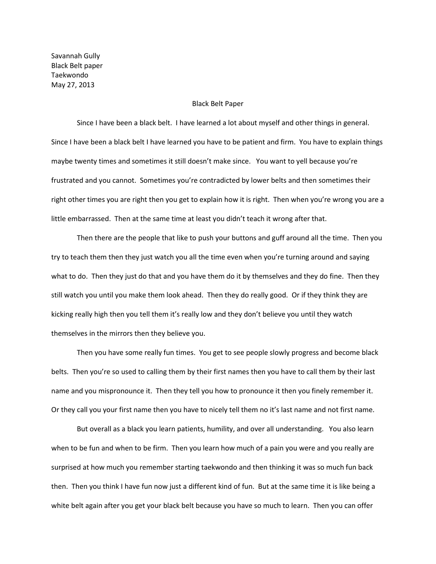Savannah Gully Black Belt paper Taekwondo May 27, 2013

## Black Belt Paper

Since I have been a black belt. I have learned a lot about myself and other things in general. Since I have been a black belt I have learned you have to be patient and firm. You have to explain things maybe twenty times and sometimes it still doesn't make since. You want to yell because you're frustrated and you cannot. Sometimes you're contradicted by lower belts and then sometimes their right other times you are right then you get to explain how it is right. Then when you're wrong you are a little embarrassed. Then at the same time at least you didn't teach it wrong after that.

Then there are the people that like to push your buttons and guff around all the time. Then you try to teach them then they just watch you all the time even when you're turning around and saying what to do. Then they just do that and you have them do it by themselves and they do fine. Then they still watch you until you make them look ahead. Then they do really good. Or if they think they are kicking really high then you tell them it's really low and they don't believe you until they watch themselves in the mirrors then they believe you.

Then you have some really fun times. You get to see people slowly progress and become black belts. Then you're so used to calling them by their first names then you have to call them by their last name and you mispronounce it. Then they tell you how to pronounce it then you finely remember it. Or they call you your first name then you have to nicely tell them no it's last name and not first name.

But overall as a black you learn patients, humility, and over all understanding. You also learn when to be fun and when to be firm. Then you learn how much of a pain you were and you really are surprised at how much you remember starting taekwondo and then thinking it was so much fun back then. Then you think I have fun now just a different kind of fun. But at the same time it is like being a white belt again after you get your black belt because you have so much to learn. Then you can offer